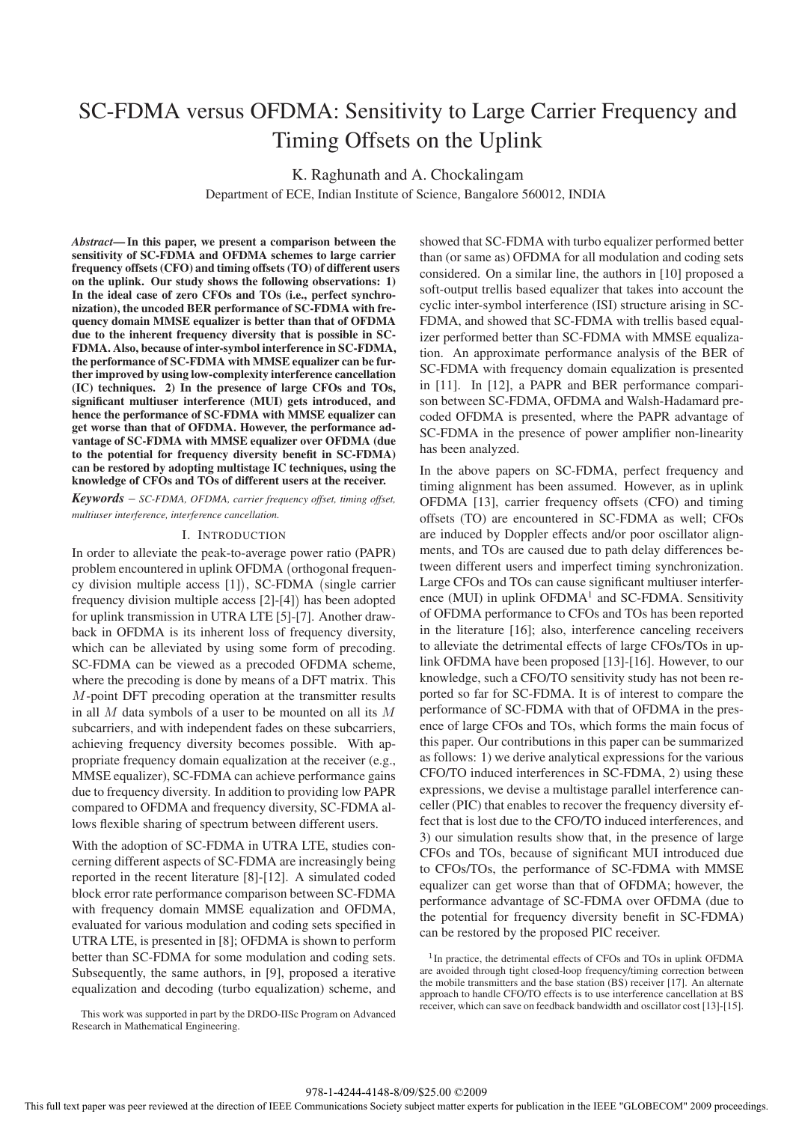## SC-FDMA versus OFDMA: Sensitivity to Large Carrier Frequency and Timing Offsets on the Uplink

K. Raghunath and A. Chockalingam

Department of ECE, Indian Institute of Science, Bangalore 560012, INDIA

*Abstract***— In this paper, we present a comparison between the sensitivity of SC-FDMA and OFDMA schemes to large carrier frequency offsets (CFO) and timing offsets (TO) of different users on the uplink. Our study shows the following observations: 1) In the ideal case of zero CFOs and TOs (i.e., perfect synchronization), the uncoded BER performance of SC-FDMA with frequency domain MMSE equalizer is better than that of OFDMA due to the inherent frequency diversity that is possible in SC-FDMA. Also, because of inter-symbol interference in SC-FDMA, the performance of SC-FDMA with MMSE equalizer can be further improved by using low-complexity interference cancellation (IC) techniques. 2) In the presence of large CFOs and TOs, significant multiuser interference (MUI) gets introduced, and hence the performance of SC-FDMA with MMSE equalizer can get worse than that of OFDMA. However, the performance advantage of SC-FDMA with MMSE equalizer over OFDMA (due to the potential for frequency diversity benefit in SC-FDMA) can be restored by adopting multistage IC techniques, using the knowledge of CFOs and TOs of different users at the receiver.**

*Keywords* – *SC-FDMA, OFDMA, carrier frequency offset, timing offset, multiuser interference, interference cancellation.*

#### I. INTRODUCTION

In order to alleviate the peak-to-average power ratio (PAPR) problem encountered in uplink OFDMA (orthogonal frequency division multiple access [1]), SC-FDMA (single carrier frequency division multiple access [2]-[4] has been adopted for uplink transmission in UTRA LTE [5]-[7]. Another drawback in OFDMA is its inherent loss of frequency diversity, which can be alleviated by using some form of precoding. SC-FDMA can be viewed as a precoded OFDMA scheme, where the precoding is done by means of a DFT matrix. This M-point DFT precoding operation at the transmitter results in all  $M$  data symbols of a user to be mounted on all its  $M$ subcarriers, and with independent fades on these subcarriers, achieving frequency diversity becomes possible. With appropriate frequency domain equalization at the receiver (e.g., MMSE equalizer), SC-FDMA can achieve performance gains due to frequency diversity. In addition to providing low PAPR compared to OFDMA and frequency diversity, SC-FDMA allows flexible sharing of spectrum between different users.

With the adoption of SC-FDMA in UTRA LTE, studies concerning different aspects of SC-FDMA are increasingly being reported in the recent literature [8]-[12]. A simulated coded block error rate performance comparison between SC-FDMA with frequency domain MMSE equalization and OFDMA, evaluated for various modulation and coding sets specified in UTRA LTE, is presented in [8]; OFDMA is shown to perform better than SC-FDMA for some modulation and coding sets. Subsequently, the same authors, in [9], proposed a iterative equalization and decoding (turbo equalization) scheme, and showed that SC-FDMA with turbo equalizer performed better than (or same as) OFDMA for all modulation and coding sets considered. On a similar line, the authors in [10] proposed a soft-output trellis based equalizer that takes into account the cyclic inter-symbol interference (ISI) structure arising in SC-FDMA, and showed that SC-FDMA with trellis based equalizer performed better than SC-FDMA with MMSE equalization. An approximate performance analysis of the BER of SC-FDMA with frequency domain equalization is presented in [11]. In [12], a PAPR and BER performance comparison between SC-FDMA, OFDMA and Walsh-Hadamard precoded OFDMA is presented, where the PAPR advantage of SC-FDMA in the presence of power amplifier non-linearity has been analyzed.

In the above papers on SC-FDMA, perfect frequency and timing alignment has been assumed. However, as in uplink OFDMA [13], carrier frequency offsets (CFO) and timing offsets (TO) are encountered in SC-FDMA as well; CFOs are induced by Doppler effects and/or poor oscillator alignments, and TOs are caused due to path delay differences between different users and imperfect timing synchronization. Large CFOs and TOs can cause significant multiuser interference (MUI) in uplink  $OFDMA<sup>1</sup>$  and SC-FDMA. Sensitivity of OFDMA performance to CFOs and TOs has been reported in the literature [16]; also, interference canceling receivers to alleviate the detrimental effects of large CFOs/TOs in uplink OFDMA have been proposed [13]-[16]. However, to our knowledge, such a CFO/TO sensitivity study has not been reported so far for SC-FDMA. It is of interest to compare the performance of SC-FDMA with that of OFDMA in the presence of large CFOs and TOs, which forms the main focus of this paper. Our contributions in this paper can be summarized as follows: 1) we derive analytical expressions for the various CFO/TO induced interferences in SC-FDMA, 2) using these expressions, we devise a multistage parallel interference canceller (PIC) that enables to recover the frequency diversity effect that is lost due to the CFO/TO induced interferences, and 3) our simulation results show that, in the presence of large CFOs and TOs, because of significant MUI introduced due to CFOs/TOs, the performance of SC-FDMA with MMSE equalizer can get worse than that of OFDMA; however, the performance advantage of SC-FDMA over OFDMA (due to the potential for frequency diversity benefit in SC-FDMA) can be restored by the proposed PIC receiver.

<sup>1</sup>In practice, the detrimental effects of CFOs and TOs in uplink OFDMA are avoided through tight closed-loop frequency/timing correction between the mobile transmitters and the base station (BS) receiver [17]. An alternate approach to handle CFO/TO effects is to use interference cancellation at BS receiver, which can save on feedback bandwidth and oscillator cost [13]-[15].

This work was supported in part by the DRDO-IISc Program on Advanced Research in Mathematical Engineering.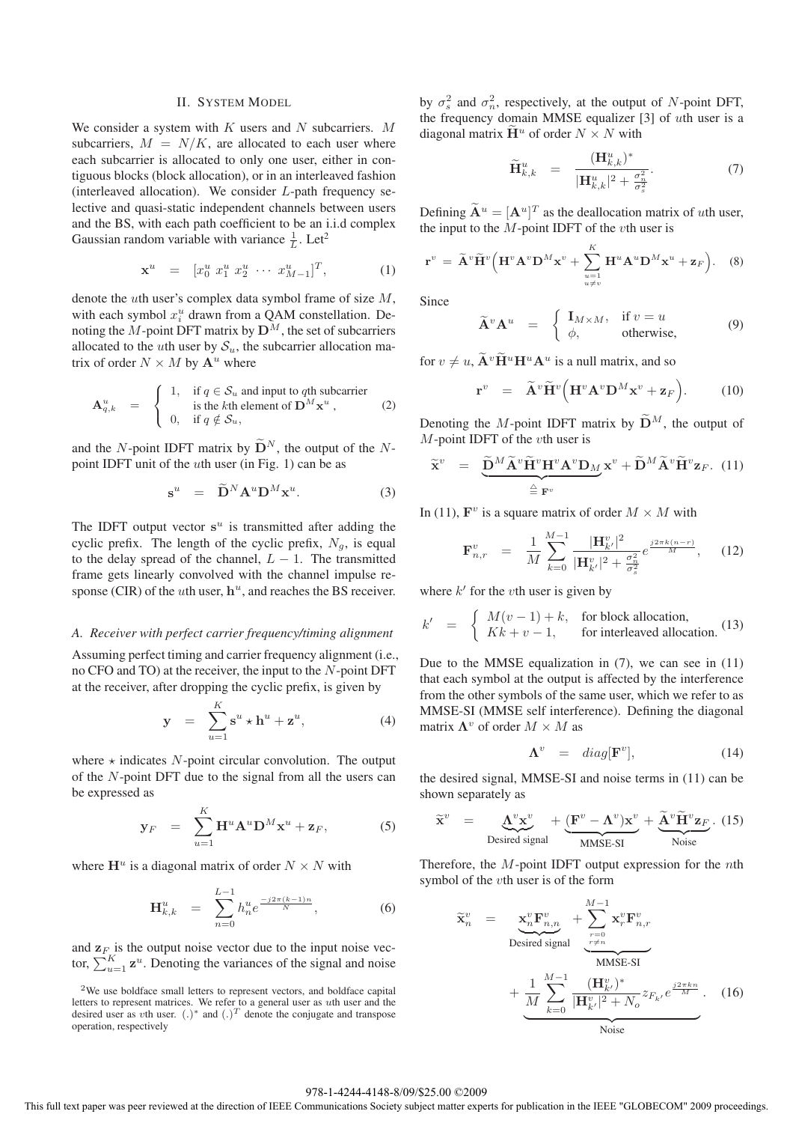#### II. SYSTEM MODEL

We consider a system with  $K$  users and  $N$  subcarriers.  $M$ subcarriers,  $M = N/K$ , are allocated to each user where each subcarrier is allocated to only one user, either in contiguous blocks (block allocation), or in an interleaved fashion (interleaved allocation). We consider L-path frequency selective and quasi-static independent channels between users and the BS, with each path coefficient to be an i.i.d complex Gaussian random variable with variance  $\frac{1}{L}$ . Let<sup>2</sup>

$$
\mathbf{x}^u = [x_0^u \ x_1^u \ x_2^u \ \cdots \ x_{M-1}^u]^T, \tag{1}
$$

denote the uth user's complex data symbol frame of size M, with each symbol  $x_i^u$  drawn from a QAM constellation. Denoting the  $M$ -point DFT matrix by  $\mathbf{D}^M$ , the set of subcarriers allocated to the uth user by  $S_u$ , the subcarrier allocation matrix of order  $N \times M$  by  $\mathbf{A}^u$  where

$$
\mathbf{A}_{q,k}^{u} = \begin{cases} 1, & \text{if } q \in \mathcal{S}_{u} \text{ and input to } q\text{th subcarrier} \\ & \text{is the } k\text{th element of } \mathbf{D}^{M} \mathbf{x}^{u} , \\ 0, & \text{if } q \notin \mathcal{S}_{u} , \end{cases}
$$
 (2)

and the N-point IDFT matrix by  $\widetilde{\mathbf{D}}^{N}$ , the output of the Npoint IDFT unit of the  $u$ th user (in Fig. 1) can be as

$$
\mathbf{s}^u = \widetilde{\mathbf{D}}^N \mathbf{A}^u \mathbf{D}^M \mathbf{x}^u. \tag{3}
$$

The IDFT output vector  $s<sup>u</sup>$  is transmitted after adding the cyclic prefix. The length of the cyclic prefix,  $N_g$ , is equal to the delay spread of the channel,  $L - 1$ . The transmitted frame gets linearly convolved with the channel impulse response (CIR) of the *u*th user,  $h^u$ , and reaches the BS receiver.

# *A. Receiver with perfect carrier frequency/timing alignment*

Assuming perfect timing and carrier frequency alignment (i.e., no CFO and TO) at the receiver, the input to the N-point DFT at the receiver, after dropping the cyclic prefix, is given by

$$
\mathbf{y} = \sum_{u=1}^{K} \mathbf{s}^u \star \mathbf{h}^u + \mathbf{z}^u, \tag{4}
$$

where  $\star$  indicates N-point circular convolution. The output of the N-point DFT due to the signal from all the users can be expressed as

$$
\mathbf{y}_F = \sum_{u=1}^K \mathbf{H}^u \mathbf{A}^u \mathbf{D}^M \mathbf{x}^u + \mathbf{z}_F, \tag{5}
$$

where  $\mathbf{H}^u$  is a diagonal matrix of order  $N \times N$  with

$$
\mathbf{H}_{k,k}^{u} = \sum_{n=0}^{L-1} h_n^u e^{\frac{-j2\pi(k-1)n}{N}}, \tag{6}
$$

and  $\mathbf{z}_F$  is the output noise vector due to the input noise vector,  $\sum_{u=1}^{K} \mathbf{z}^u$ . Denoting the variances of the signal and noise

by  $\sigma_s^2$  and  $\sigma_n^2$ , respectively, at the output of N-point DFT, the frequency domain MMSE equalizer [3] of uth user is a diagonal matrix  $\mathbf{H}^u$  of order  $N \times N$  with

$$
\widetilde{\mathbf{H}}_{k,k}^{u} = \frac{(\mathbf{H}_{k,k}^{u})^{*}}{|\mathbf{H}_{k,k}^{u}|^{2} + \frac{\sigma_{n}^{2}}{\sigma_{s}^{2}}}.
$$
\n(7)

Defining  $\tilde{\mathbf{A}}^u = [\mathbf{A}^u]^T$  as the deallocation matrix of *uth* user, the input to the  $M$ -point IDFT of the  $v$ th user is

$$
\mathbf{r}^v = \widetilde{\mathbf{A}}^v \widetilde{\mathbf{H}}^v \Big( \mathbf{H}^v \mathbf{A}^v \mathbf{D}^M \mathbf{x}^v + \sum_{\substack{u=1 \ u \neq v}}^K \mathbf{H}^u \mathbf{A}^u \mathbf{D}^M \mathbf{x}^u + \mathbf{z}_F \Big). \tag{8}
$$

Since

$$
\widetilde{\mathbf{A}}^v \mathbf{A}^u = \begin{cases} \mathbf{I}_{M \times M}, & \text{if } v = u \\ \phi, & \text{otherwise,} \end{cases}
$$
(9)

for  $v \neq u$ ,  $\mathbf{A}^v \mathbf{H}^u \mathbf{H}^u \mathbf{A}^u$  is a null matrix, and so

$$
\mathbf{r}^v = \widetilde{\mathbf{A}}^v \widetilde{\mathbf{H}}^v \Big( \mathbf{H}^v \mathbf{A}^v \mathbf{D}^M \mathbf{x}^v + \mathbf{z}_F \Big). \tag{10}
$$

Denoting the M-point IDFT matrix by  $\widetilde{\mathbf{D}}^M$ , the output of M-point IDFT of the vth user is

$$
\widetilde{\mathbf{x}}^v = \underbrace{\widetilde{\mathbf{D}}^M \widetilde{\mathbf{A}}^v \widetilde{\mathbf{H}}^v \mathbf{H}^v \mathbf{A}^v \mathbf{D}_M}_{\triangleq \mathbf{F}^v} \mathbf{x}^v + \widetilde{\mathbf{D}}^M \widetilde{\mathbf{A}}^v \widetilde{\mathbf{H}}^v \mathbf{z}_F. (11)
$$

In (11),  $\mathbf{F}^v$  is a square matrix of order  $M \times M$  with

$$
\mathbf{F}_{n,r}^{v} = \frac{1}{M} \sum_{k=0}^{M-1} \frac{|\mathbf{H}_{k'}^{v}|^{2}}{|\mathbf{H}_{k'}^{v}|^{2} + \frac{\sigma_{n}^{2}}{\sigma_{s}^{2}}} e^{\frac{j2\pi k(n-r)}{M}}, \quad (12)
$$

where  $k'$  for the vth user is given by

$$
k' = \begin{cases} M(v-1) + k, & \text{for block allocation,} \\ Kk + v - 1, & \text{for interleaved allocation.} \end{cases}
$$
 (13)

Due to the MMSE equalization in (7), we can see in (11) that each symbol at the output is affected by the interference from the other symbols of the same user, which we refer to as MMSE-SI (MMSE self interference). Defining the diagonal matrix  $\Lambda^v$  of order  $M \times M$  as

$$
\Lambda^v = diag[\mathbf{F}^v], \tag{14}
$$

the desired signal, MMSE-SI and noise terms in (11) can be shown separately as

$$
\widetilde{\mathbf{x}}^v = \underbrace{\mathbf{\Lambda}^v \mathbf{x}^v}_{\text{Desired signal}} + \underbrace{(\mathbf{F}^v - \mathbf{\Lambda}^v) \mathbf{x}^v}_{\text{MMSE-SI}} + \underbrace{\widetilde{\mathbf{\Lambda}}^v \widetilde{\mathbf{H}}^v \mathbf{z}_F}_{\text{Noise}}.
$$
 (15)

Therefore, the  $M$ -point IDFT output expression for the *n*th symbol of the vth user is of the form

$$
\widetilde{\mathbf{x}}_{n}^{v} = \mathbf{x}_{n}^{v} \mathbf{F}_{n,n}^{v} + \sum_{r=0}^{M-1} \mathbf{x}_{r}^{v} \mathbf{F}_{n,r}^{v}
$$
\nDesired signal\n
$$
+ \underbrace{\frac{1}{M} \sum_{k=0}^{M-1} \frac{(\mathbf{H}_{k'}^{v})^{*}}{|\mathbf{H}_{k'}^{v}|^{2} + N_{o}} z_{F_{k'}} e^{\frac{j2\pi kn}{M}}}_{\text{Noise}}.
$$
\n(16)

<sup>2</sup>We use boldface small letters to represent vectors, and boldface capital letters to represent matrices. We refer to a general user as uth user and the desired user as vth user.  $(.)^*$  and  $(.)^T$  denote the conjugate and transpose operation, respectively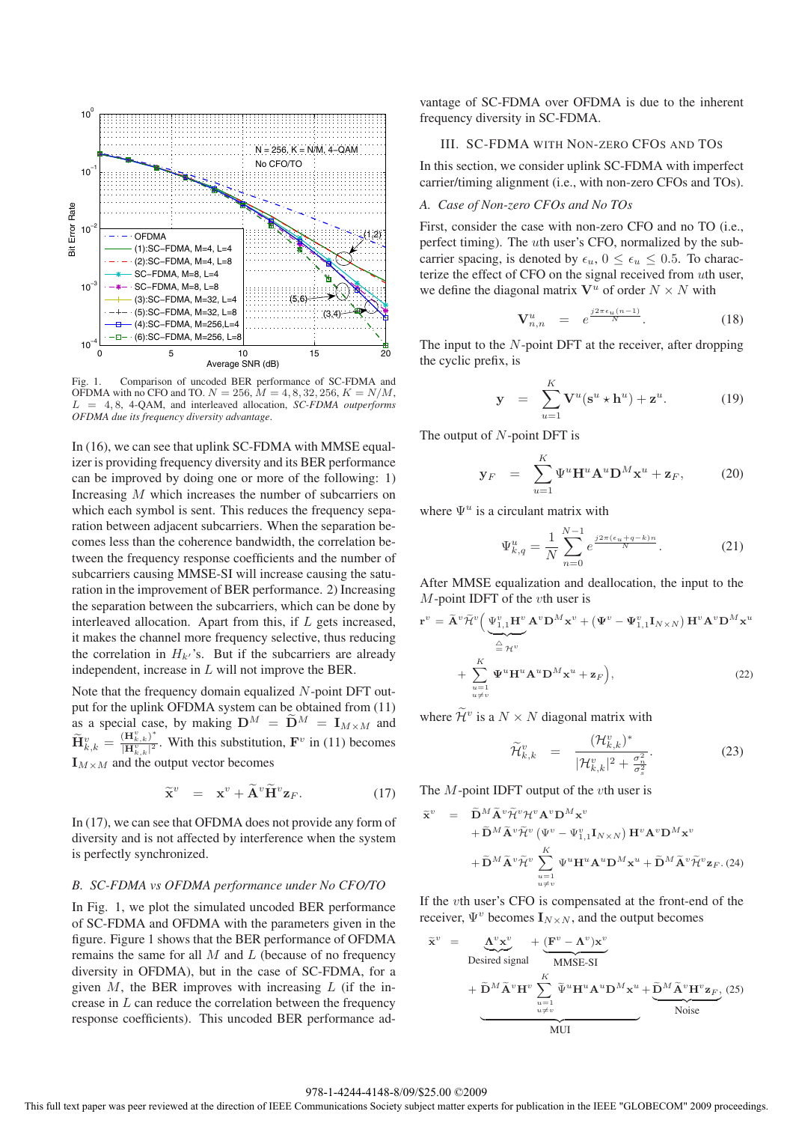

Fig. 1. Comparison of uncoded BER performance of SC-FDMA and OFDMA with no CFO and TO.  $N = 256$ ,  $M = 4, 8, 32, 256$ ,  $K = N/M$ , L = 4, 8, 4-QAM, and interleaved allocation, *SC-FDMA outperforms OFDMA due its frequency diversity advantage*.

In (16), we can see that uplink SC-FDMA with MMSE equalizer is providing frequency diversity and its BER performance can be improved by doing one or more of the following: 1) Increasing M which increases the number of subcarriers on which each symbol is sent. This reduces the frequency separation between adjacent subcarriers. When the separation becomes less than the coherence bandwidth, the correlation between the frequency response coefficients and the number of subcarriers causing MMSE-SI will increase causing the saturation in the improvement of BER performance. 2) Increasing the separation between the subcarriers, which can be done by interleaved allocation. Apart from this, if L gets increased, it makes the channel more frequency selective, thus reducing the correlation in  $H_{k'}$ 's. But if the subcarriers are already independent, increase in L will not improve the BER.

Note that the frequency domain equalized N-point DFT output for the uplink OFDMA system can be obtained from (11) as a special case, by making  $D^M = \widetilde{D}^M = I_{M \times M}$  and  $\widetilde{\mathbf{H}}_{k,k}^v = \frac{(\mathbf{H}_{k,k}^v)^*}{|\mathbf{H}_{k,k}^v|^2}$ . With this substitution,  $\mathbf{F}^v$  in (11) becomes  $\mathbf{I}_{M \times M}$  and the output vector becomes

$$
\widetilde{\mathbf{x}}^v = \mathbf{x}^v + \widetilde{\mathbf{A}}^v \widetilde{\mathbf{H}}^v \mathbf{z}_F. \tag{17}
$$

In (17), we can see that OFDMA does not provide any form of diversity and is not affected by interference when the system is perfectly synchronized.

## *B. SC-FDMA vs OFDMA performance under No CFO/TO*

In Fig. 1, we plot the simulated uncoded BER performance of SC-FDMA and OFDMA with the parameters given in the figure. Figure 1 shows that the BER performance of OFDMA remains the same for all  $M$  and  $L$  (because of no frequency diversity in OFDMA), but in the case of SC-FDMA, for a given  $M$ , the BER improves with increasing  $L$  (if the increase in  $L$  can reduce the correlation between the frequency response coefficients). This uncoded BER performance advantage of SC-FDMA over OFDMA is due to the inherent frequency diversity in SC-FDMA.

## III. SC-FDMA WITH NON-ZERO CFOS AND TOS

In this section, we consider uplink SC-FDMA with imperfect carrier/timing alignment (i.e., with non-zero CFOs and TOs).

## *A. Case of Non-zero CFOs and No TOs*

First, consider the case with non-zero CFO and no TO (i.e., perfect timing). The uth user's CFO, normalized by the subcarrier spacing, is denoted by  $\epsilon_u$ ,  $0 \leq \epsilon_u \leq 0.5$ . To characterize the effect of CFO on the signal received from uth user, we define the diagonal matrix  $V^u$  of order  $N \times N$  with

$$
\mathbf{V}_{n,n}^u = e^{\frac{j2\pi\epsilon_u(n-1)}{N}}.
$$
 (18)

The input to the  $N$ -point DFT at the receiver, after dropping the cyclic prefix, is

$$
\mathbf{y} = \sum_{u=1}^{K} \mathbf{V}^u(\mathbf{s}^u \star \mathbf{h}^u) + \mathbf{z}^u.
$$
 (19)

The output of  $N$ -point DFT is

$$
\mathbf{y}_F = \sum_{u=1}^K \Psi^u \mathbf{H}^u \mathbf{A}^u \mathbf{D}^M \mathbf{x}^u + \mathbf{z}_F, \qquad (20)
$$

where  $\Psi^u$  is a circulant matrix with

$$
\Psi_{k,q}^{u} = \frac{1}{N} \sum_{n=0}^{N-1} e^{\frac{j2\pi(\epsilon_u + q - k)n}{N}}.
$$
 (21)

After MMSE equalization and deallocation, the input to the  $M$ -point IDFT of the vth user is

$$
\mathbf{r}^{v} = \tilde{\mathbf{A}}^{v} \tilde{\mathcal{H}}^{v} \Big( \underbrace{\Psi_{1,1}^{v} \mathbf{H}^{v}}_{\cong \mathcal{H}^{v}} \mathbf{A}^{v} \mathbf{D}^{M} \mathbf{x}^{v} + \left( \mathbf{\Psi}^{v} - \mathbf{\Psi}_{1,1}^{v} \mathbf{I}_{N \times N} \right) \mathbf{H}^{v} \mathbf{A}^{v} \mathbf{D}^{M} \mathbf{x}^{u}
$$

$$
+ \sum_{\substack{u=1 \ u \neq v}}^{K} \mathbf{\Psi}^{u} \mathbf{H}^{u} \mathbf{A}^{u} \mathbf{D}^{M} \mathbf{x}^{u} + \mathbf{z}_{F} \Big), \tag{22}
$$

where  $\widetilde{\mathcal{H}}^v$  is a  $N \times N$  diagonal matrix with

$$
\widetilde{\mathcal{H}}_{k,k}^v = \frac{(\mathcal{H}_{k,k}^v)^*}{|\mathcal{H}_{k,k}^v|^2 + \frac{\sigma_n^2}{\sigma_s^2}}.
$$
\n(23)

The  $M$ -point IDFT output of the  $vt$ h user is

$$
\widetilde{\mathbf{x}}^{v} = \widetilde{\mathbf{D}}^{M} \widetilde{\mathbf{A}}^{v} \widetilde{\mathcal{H}}^{v} \mathcal{H}^{v} \mathbf{A}^{v} \mathbf{D}^{M} \mathbf{x}^{v} \n+ \widetilde{\mathbf{D}}^{M} \widetilde{\mathbf{A}}^{v} \widetilde{\mathcal{H}}^{v} \left( \Psi^{v} - \Psi^{v}_{1,1} \mathbf{I}_{N \times N} \right) \mathbf{H}^{v} \mathbf{A}^{v} \mathbf{D}^{M} \mathbf{x}^{v} \n+ \widetilde{\mathbf{D}}^{M} \widetilde{\mathbf{A}}^{v} \widetilde{\mathcal{H}}^{v} \sum_{\substack{u=1 \ u \neq v}}^{K} \Psi^{u} \mathbf{H}^{u} \mathbf{A}^{u} \mathbf{D}^{M} \mathbf{x}^{u} + \widetilde{\mathbf{D}}^{M} \widetilde{\mathbf{A}}^{v} \widetilde{\mathcal{H}}^{v} \mathbf{z}_{F}. (24)
$$

If the vth user's CFO is compensated at the front-end of the receiver,  $\Psi^v$  becomes  $\mathbf{I}_{N \times N}$ , and the output becomes

$$
\tilde{\mathbf{x}}^{v} = \underbrace{\mathbf{\Delta}^{v} \mathbf{x}^{v}}_{\text{Desired signal}} + \underbrace{(\mathbf{F}^{v} - \mathbf{\Delta}^{v}) \mathbf{x}^{v}}_{\text{MMSE-SI}} + \widetilde{\mathbf{D}}^{M} \widetilde{\mathbf{A}}^{v} \mathbf{H}^{v} \sum_{u=1 \atop u \neq v}^{K} \widetilde{\Psi}^{u} \mathbf{H}^{u} \mathbf{A}^{u} \mathbf{D}^{M} \mathbf{x}^{u} + \underbrace{\widetilde{\mathbf{D}}^{M} \widetilde{\mathbf{A}}^{v} \mathbf{H}^{v} \mathbf{z}_{F}}_{\text{Noise}}, (25)
$$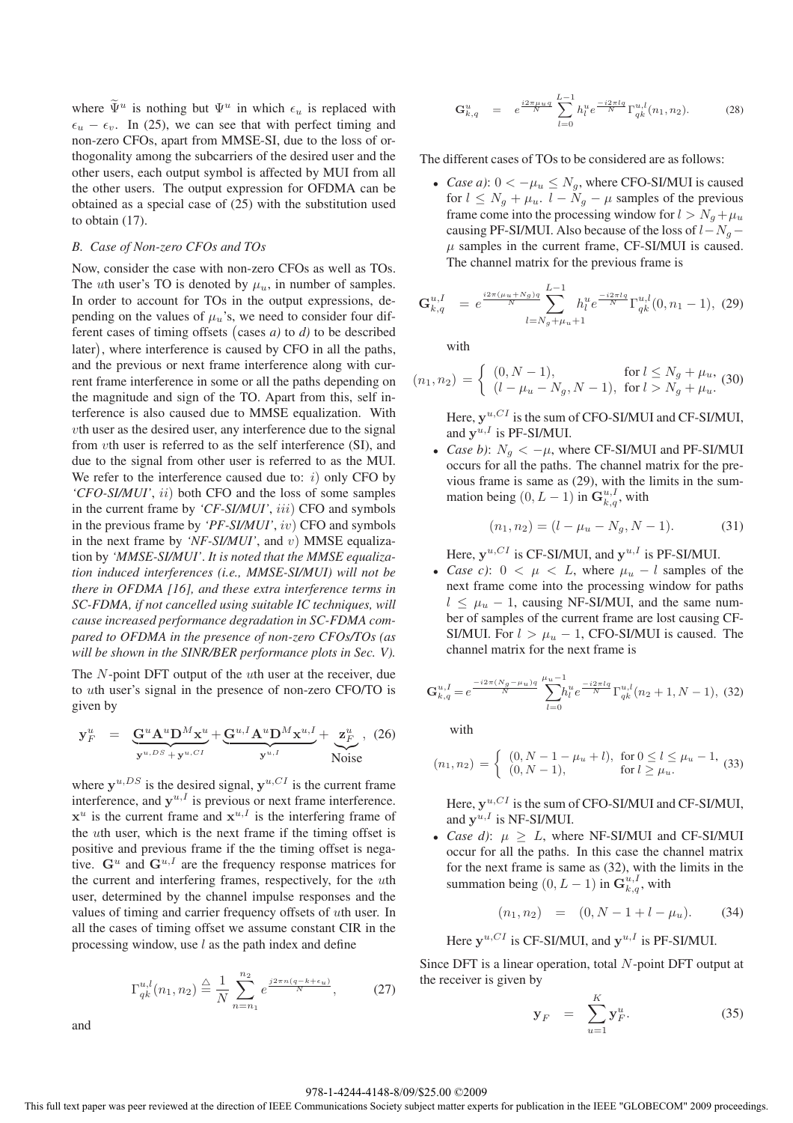where  $\widetilde{\Psi}^u$  is nothing but  $\Psi^u$  in which  $\epsilon_u$  is replaced with  $\epsilon_u - \epsilon_v$ . In (25), we can see that with perfect timing and non-zero CFOs, apart from MMSE-SI, due to the loss of orthogonality among the subcarriers of the desired user and the other users, each output symbol is affected by MUI from all the other users. The output expression for OFDMA can be obtained as a special case of (25) with the substitution used to obtain (17).

## *B. Case of Non-zero CFOs and TOs*

Now, consider the case with non-zero CFOs as well as TOs. The *uth* user's TO is denoted by  $\mu_u$ , in number of samples. In order to account for TOs in the output expressions, depending on the values of  $\mu_u$ 's, we need to consider four different cases of timing offsets (cases  $a$ ) to  $d$ ) to be described later , where interference is caused by CFO in all the paths, and the previous or next frame interference along with current frame interference in some or all the paths depending on the magnitude and sign of the TO. Apart from this, self interference is also caused due to MMSE equalization. With vth user as the desired user, any interference due to the signal from vth user is referred to as the self interference (SI), and due to the signal from other user is referred to as the MUI. We refer to the interference caused due to:  $i)$  only CFO by *'CFO-SI/MUI'*, ii) both CFO and the loss of some samples in the current frame by *'CF-SI/MUI'*, *iii*) CFO and symbols in the previous frame by *'PF-SI/MUI'*, iv) CFO and symbols in the next frame by *'NF-SI/MUI'*, and v) MMSE equalization by *'MMSE-SI/MUI'*. *It is noted that the MMSE equalization induced interferences (i.e., MMSE-SI/MUI) will not be there in OFDMA [16], and these extra interference terms in SC-FDMA, if not cancelled using suitable IC techniques, will cause increased performance degradation in SC-FDMA compared to OFDMA in the presence of non-zero CFOs/TOs (as will be shown in the SINR/BER performance plots in Sec. V).*

The N-point DFT output of the uth user at the receiver, due to uth user's signal in the presence of non-zero CFO/TO is given by

$$
\mathbf{y}_{F}^{u} = \underbrace{\mathbf{G}^{u} \mathbf{A}^{u} \mathbf{D}^{M} \mathbf{x}^{u}}_{\mathbf{y}^{u, DS} + \mathbf{y}^{u, CI}} + \underbrace{\mathbf{G}^{u, I} \mathbf{A}^{u} \mathbf{D}^{M} \mathbf{x}^{u, I}}_{\mathbf{y}^{u, I}} + \underbrace{\mathbf{x}_{F}^{u}}_{\text{Noise}}, \quad (26)
$$

where  $y^{u,DS}$  is the desired signal,  $y^{u,CI}$  is the current frame interference, and  $y^{u,I}$  is previous or next frame interference.  $x^u$  is the current frame and  $x^{u,I}$  is the interfering frame of the uth user, which is the next frame if the timing offset is positive and previous frame if the the timing offset is negative.  $G^u$  and  $G^{u,I}$  are the frequency response matrices for the current and interfering frames, respectively, for the uth user, determined by the channel impulse responses and the values of timing and carrier frequency offsets of uth user. In all the cases of timing offset we assume constant CIR in the processing window, use  $l$  as the path index and define

$$
\Gamma_{qk}^{u,l}(n_1, n_2) \stackrel{\triangle}{=} \frac{1}{N} \sum_{n=n_1}^{n_2} e^{\frac{j2\pi n (q - k + \epsilon_u)}{N}}, \qquad (27)
$$

and

$$
\mathbf{G}_{k,q}^{u} = e^{\frac{i2\pi\mu_{u}q}{N}} \sum_{l=0}^{L-1} h_{l}^{u} e^{\frac{-i2\pi lq}{N}} \Gamma_{qk}^{u,l}(n_1, n_2).
$$
 (28)

The different cases of TOs to be considered are as follows:

• *Case a*):  $0 < -\mu_u \leq N_q$ , where CFO-SI/MUI is caused for  $l \leq N_q + \mu_u$ .  $l - N_q - \mu$  samples of the previous frame come into the processing window for  $l>N_q + \mu_u$ causing PF-SI/MUI. Also because of the loss of  $l-N_q \mu$  samples in the current frame, CF-SI/MUI is caused. The channel matrix for the previous frame is

$$
\mathbf{G}_{k,q}^{u,I} = e^{\frac{i2\pi(\mu_u + N_g)q}{N}} \sum_{l=N_g+\mu_u+1}^{L-1} h_l^u e^{\frac{-i2\pi lq}{N}} \Gamma_{qk}^{u,l}(0, n_1-1), (29)
$$

with

$$
(n_1, n_2) = \begin{cases} (0, N - 1), & \text{for } l \le N_g + \mu_u, \\ (l - \mu_u - N_g, N - 1), & \text{for } l > N_g + \mu_u. \end{cases}
$$

Here,  $\mathbf{v}^{u,CI}$  is the sum of CFO-SI/MUI and CF-SI/MUI, and  $\mathbf{v}^{u,I}$  is PF-SI/MUI.

• *Case b)*:  $N_g < -\mu$ , where CF-SI/MUI and PF-SI/MUI occurs for all the paths. The channel matrix for the previous frame is same as (29), with the limits in the summation being  $(0, L - 1)$  in  $\mathbf{G}_{k,q}^{u,I}$ , with

$$
(n_1, n_2) = (l - \mu_u - N_g, N - 1). \tag{31}
$$

Here,  $y^{u,CI}$  is CF-SI/MUI, and  $y^{u,I}$  is PF-SI/MUI.

• *Case c*):  $0 < \mu < L$ , where  $\mu_u - l$  samples of the next frame come into the processing window for paths  $l \leq \mu_u - 1$ , causing NF-SI/MUI, and the same number of samples of the current frame are lost causing CF-SI/MUI. For  $l > \mu_u - 1$ , CFO-SI/MUI is caused. The channel matrix for the next frame is

$$
\mathbf{G}_{k,q}^{u,I} = e^{\frac{-i2\pi (N_g - \mu_u)q}{N}} \sum_{l=0}^{\mu_u - 1} h_l^u e^{\frac{-i2\pi lq}{N}} \Gamma_{qk}^{u,l} (n_2 + 1, N - 1), \tag{32}
$$

with

$$
(n_1, n_2) = \begin{cases} (0, N - 1 - \mu_u + l), & \text{for } 0 \le l \le \mu_u - 1, \\ (0, N - 1), & \text{for } l \ge \mu_u. \end{cases}
$$
 (33)

Here,  $y^{u,CI}$  is the sum of CFO-SI/MUI and CF-SI/MUI, and  $\mathbf{v}^{u,I}$  is NF-SI/MUI.

• *Case d)*:  $\mu \geq L$ , where NF-SI/MUI and CF-SI/MUI occur for all the paths. In this case the channel matrix for the next frame is same as (32), with the limits in the summation being  $(0, L - 1)$  in  $\mathbf{G}_{k,q}^{u,I}$ , with

$$
(n_1, n_2) = (0, N - 1 + l - \mu_u). \tag{34}
$$

Here  $y^{u,CI}$  is CF-SI/MUI, and  $y^{u, I}$  is PF-SI/MUI.

Since DFT is a linear operation, total N-point DFT output at the receiver is given by

$$
\mathbf{y}_F = \sum_{u=1}^K \mathbf{y}_F^u. \tag{35}
$$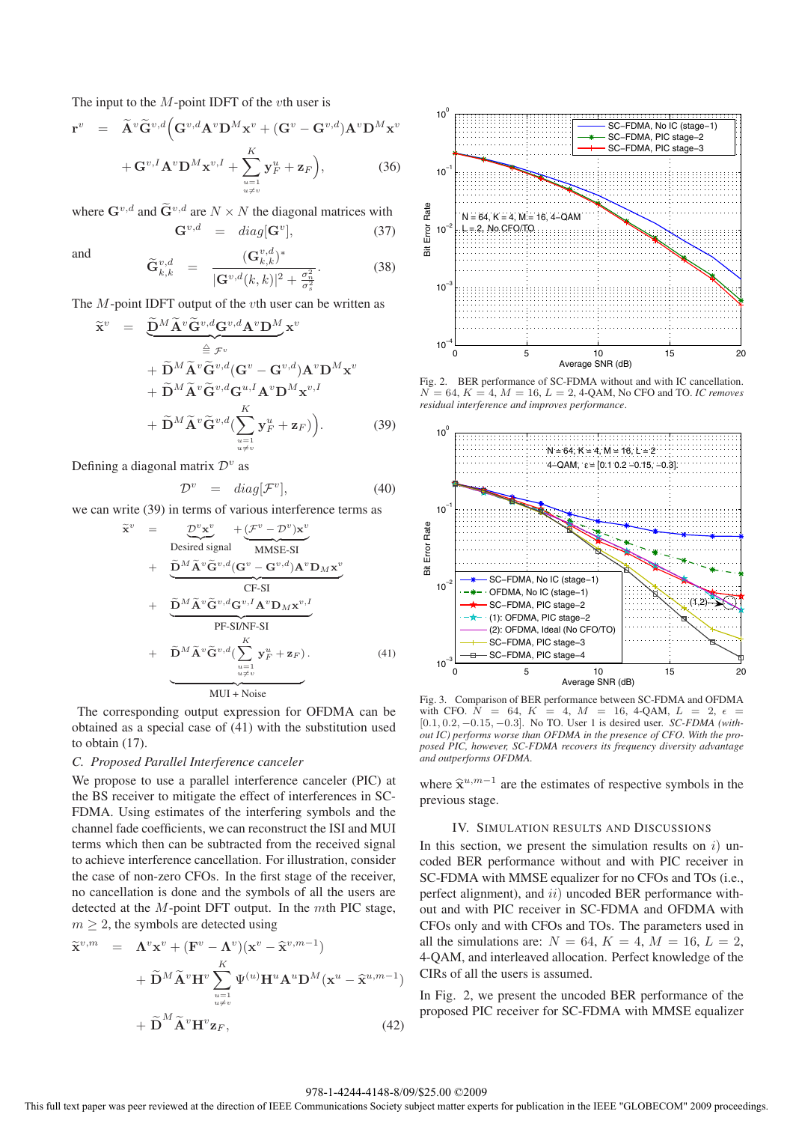The input to the  $M$ -point IDFT of the  $vt$ h user is

$$
\mathbf{r}^{v} = \widetilde{\mathbf{A}}^{v} \widetilde{\mathbf{G}}^{v,d} \Big( \mathbf{G}^{v,d} \mathbf{A}^{v} \mathbf{D}^{M} \mathbf{x}^{v} + (\mathbf{G}^{v} - \mathbf{G}^{v,d}) \mathbf{A}^{v} \mathbf{D}^{M} \mathbf{x}^{v} + \mathbf{G}^{v,I} \mathbf{A}^{v} \mathbf{D}^{M} \mathbf{x}^{v,I} + \sum_{\substack{u=1 \ u \neq v}}^{K} \mathbf{y}_{F}^{u} + \mathbf{z}_{F} \Big), \tag{36}
$$

where  $\mathbf{G}^{v,d}$  and  $\tilde{\mathbf{G}}^{v,d}$  are  $N \times N$  the diagonal matrices with<br> $\mathbf{G}^{v,d} = diag[\mathbf{G}^v]$  (37)  $\mathbf{G}^{v,d}$  = diag[ $\mathbf{G}^v$ ],

and

$$
\widetilde{\mathbf{G}}_{k,k}^{v,d} = \frac{(\mathbf{G}_{k,k}^{v,d})^*}{|\mathbf{G}^{v,d}(k,k)|^2 + \frac{\sigma_n^2}{\sigma_s^2}}.
$$
\n(38)

The *M*-point IDFT output of the *v*th user can be written as

$$
\widetilde{\mathbf{x}}^{v} = \underbrace{\widetilde{\mathbf{D}}^{M} \widetilde{\mathbf{A}}^{v} \widetilde{\mathbf{G}}^{v,d} \mathbf{G}^{v,d} \mathbf{A}^{v} \mathbf{D}^{M}}_{\equiv \mathcal{F}^{v}} \mathbf{x}^{v} \n+ \widetilde{\mathbf{D}}^{M} \widetilde{\mathbf{A}}^{v} \widetilde{\mathbf{G}}^{v,d} (\mathbf{G}^{v} - \mathbf{G}^{v,d}) \mathbf{A}^{v} \mathbf{D}^{M} \mathbf{x}^{v} \n+ \widetilde{\mathbf{D}}^{M} \widetilde{\mathbf{A}}^{v} \widetilde{\mathbf{G}}^{v,d} \mathbf{G}^{u,I} \mathbf{A}^{v} \mathbf{D}^{M} \mathbf{x}^{v,I} \n+ \widetilde{\mathbf{D}}^{M} \widetilde{\mathbf{A}}^{v} \widetilde{\mathbf{G}}^{v,d} (\sum_{u=1 \atop u \neq v}^{K} \mathbf{y}_{F}^{u} + \mathbf{z}_{F})).
$$
\n(39)

Defining a diagonal matrix  $\mathcal{D}^v$  as

$$
\mathcal{D}^v = diag[\mathcal{F}^v],\tag{40}
$$

we can write (39) in terms of various interference terms as

$$
\tilde{\mathbf{x}}^{v} = \underbrace{\mathcal{D}^{v} \mathbf{x}^{v}}_{\text{Desired signal}} + \underbrace{(\mathcal{F}^{v} - \mathcal{D}^{v}) \mathbf{x}^{v}}_{\text{MMSE-SI}} + \underbrace{\tilde{\mathbf{D}}^{M} \tilde{\mathbf{A}}^{v} \tilde{\mathbf{G}}^{v,d} (\mathbf{G}^{v} - \mathbf{G}^{v,d}) \mathbf{A}^{v} \mathbf{D}_{M} \mathbf{x}^{v}}_{\text{CF-SI}} + \underbrace{\tilde{\mathbf{D}}^{M} \tilde{\mathbf{A}}^{v} \tilde{\mathbf{G}}^{v,d} \mathbf{G}^{v,I} \mathbf{A}^{v} \mathbf{D}_{M} \mathbf{x}^{v,I}}_{\text{PF-SI/NF-SI}} + \widetilde{\mathbf{D}}^{M} \tilde{\mathbf{A}}^{v} \tilde{\mathbf{G}}^{v,d} (\sum_{u=1 \atop u \neq v}^{K} \mathbf{y}_{F}^{u} + \mathbf{z}_{F}). \tag{41}
$$
\n
$$
\underbrace{\mathbf{M} \mathbf{U} \mathbf{I} + \mathbf{N} \mathbf{O} \mathbf{S} \mathbf{S} \mathbf{S} \mathbf{S} \mathbf{S} \mathbf{S} \mathbf{S} \mathbf{S} \mathbf{S} \mathbf{S} \mathbf{S} \mathbf{S} \mathbf{S} \mathbf{S} \mathbf{S} \mathbf{S} \mathbf{S} \mathbf{S} \mathbf{S} \mathbf{S} \mathbf{S} \mathbf{S} \mathbf{S} \mathbf{S} \mathbf{S} \mathbf{S} \mathbf{S} \mathbf{S} \mathbf{S} \mathbf{S} \mathbf{S} \mathbf{S} \mathbf{S} \mathbf{S} \mathbf{S} \mathbf{S} \mathbf{S} \mathbf{S} \mathbf{S} \mathbf{S} \mathbf{S} \mathbf{S} \mathbf{S} \mathbf{S} \mathbf{S} \mathbf{S} \mathbf{S} \mathbf{S} \mathbf{S} \mathbf{S} \mathbf{S} \mathbf{S} \mathbf{S} \mathbf{S} \mathbf{S} \mathbf{S} \mathbf{S} \mathbf{S} \mathbf{S} \mathbf{S} \mathbf{S} \mathbf{S
$$

The corresponding output expression for OFDMA can be obtained as a special case of (41) with the substitution used to obtain (17).

#### *C. Proposed Parallel Interference canceler*

We propose to use a parallel interference canceler (PIC) at the BS receiver to mitigate the effect of interferences in SC-FDMA. Using estimates of the interfering symbols and the channel fade coefficients, we can reconstruct the ISI and MUI terms which then can be subtracted from the received signal to achieve interference cancellation. For illustration, consider the case of non-zero CFOs. In the first stage of the receiver, no cancellation is done and the symbols of all the users are detected at the  $M$ -point DFT output. In the  $m$ th PIC stage,  $m \geq 2$ , the symbols are detected using

$$
\widetilde{\mathbf{x}}^{v,m} = \mathbf{\Lambda}^v \mathbf{x}^v + (\mathbf{F}^v - \mathbf{\Lambda}^v)(\mathbf{x}^v - \widehat{\mathbf{x}}^{v,m-1}) \n+ \widetilde{\mathbf{D}}^M \widetilde{\mathbf{A}}^v \mathbf{H}^v \sum_{\substack{u=1 \ u \neq v}}^K \Psi^{(u)} \mathbf{H}^u \mathbf{A}^u \mathbf{D}^M (\mathbf{x}^u - \widehat{\mathbf{x}}^{u,m-1}) \n+ \widetilde{\mathbf{D}}^M \widetilde{\mathbf{A}}^v \mathbf{H}^v \mathbf{z}_F,
$$
\n(42)



Fig. 2. BER performance of SC-FDMA without and with IC cancellation.  $N = 64, K = 4, M = 16, L = 2, 4$ -QAM, No CFO and TO. *IC removes residual interference and improves performance*.



Fig. 3. Comparison of BER performance between SC-FDMA and OFDMA with CFO.  $N = 64$ ,  $K = 4$ ,  $M = 16$ , 4-QAM,  $L = 2$ ,  $\epsilon =$ [0.1, 0.2, *−*0.15, *−*0.3]. No TO. User 1 is desired user. *SC-FDMA (without IC) performs worse than OFDMA in the presence of CFO. With the proposed PIC, however, SC-FDMA recovers its frequency diversity advantage and outperforms OFDMA.*

where **<sup>x</sup>**u,m−<sup>1</sup> are the estimates of respective symbols in the previous stage.

## IV. SIMULATION RESULTS AND DISCUSSIONS

In this section, we present the simulation results on  $i$ ) uncoded BER performance without and with PIC receiver in SC-FDMA with MMSE equalizer for no CFOs and TOs (i.e., perfect alignment), and ii) uncoded BER performance without and with PIC receiver in SC-FDMA and OFDMA with CFOs only and with CFOs and TOs. The parameters used in all the simulations are:  $N = 64$ ,  $K = 4$ ,  $M = 16$ ,  $L = 2$ , 4-QAM, and interleaved allocation. Perfect knowledge of the CIRs of all the users is assumed.

In Fig. 2, we present the uncoded BER performance of the proposed PIC receiver for SC-FDMA with MMSE equalizer